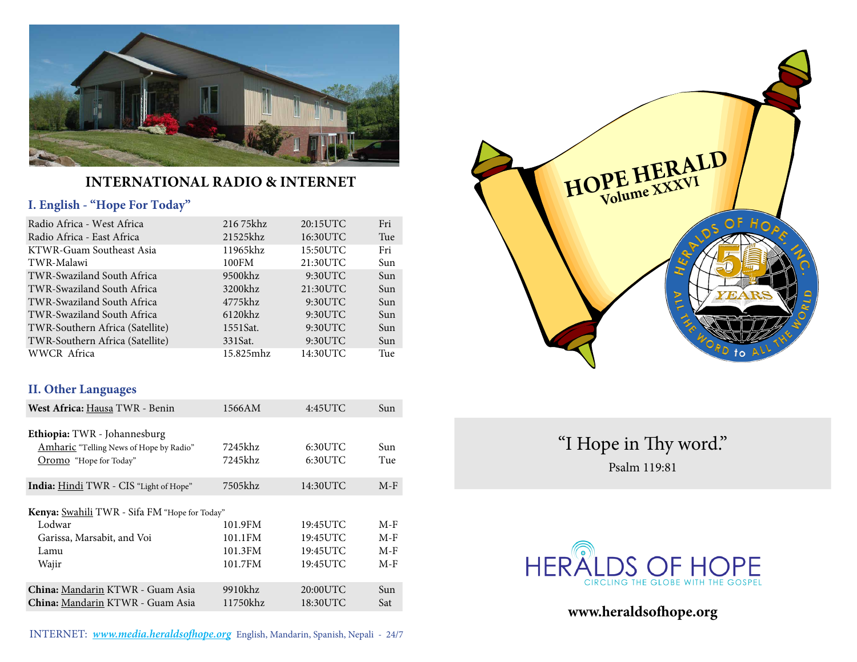

### **International Radio & Internet**

### **I. English - "Hope For Today"**

| Radio Africa - West Africa      | 216 75khz  | 20:15UTC | Fri        |
|---------------------------------|------------|----------|------------|
| Radio Africa - East Africa      | 21525khz   | 16:30UTC | Tue        |
| KTWR-Guam Southeast Asia        | 11965khz   | 15:50UTC | Fri        |
| TWR-Malawi                      | 100FM      | 21:30UTC | Sun        |
| TWR-Swaziland South Africa      | 9500khz    | 9:30UTC  | Sun        |
| TWR-Swaziland South Africa      | 3200khz    | 21:30UTC | Sun        |
| TWR-Swaziland South Africa      | 4775khz    | 9:30UTC  | Sun        |
| TWR-Swaziland South Africa      | $6120$ khz | 9:30UTC  | <b>Sun</b> |
| TWR-Southern Africa (Satellite) | 1551Sat.   | 9:30UTC  | Sun        |
| TWR-Southern Africa (Satellite) | 331 Sat.   | 9:30UTC  | Sun        |
| WWCR Africa                     | 15.825mhz  | 14:30UTC | Tue        |

### **II. Other Languages**

| West Africa: Hausa TWR - Benin                       | 1566AM   | 4:45UTC    | Sun   |
|------------------------------------------------------|----------|------------|-------|
| Ethiopia: TWR - Johannesburg                         |          |            |       |
| Amharic "Telling News of Hope by Radio"              | 7245khz  | $6:30$ UTC | Sun   |
| Oromo "Hope for Today"                               | 7245khz  | 6:30UTC    | Tue   |
| India: Hindi TWR - CIS "Light of Hope"               | 7505khz  | 14:30UTC   | $M-F$ |
| <b>Kenya:</b> Swahili TWR - Sifa FM "Hope for Today" |          |            |       |
| Lodwar                                               | 101.9FM  | 19:45UTC   | $M-F$ |
| Garissa, Marsabit, and Voi                           | 101.1FM  | 19:45UTC   | $M-F$ |
| Lamu                                                 | 101.3FM  | 19:45UTC   | $M-F$ |
| Wajir                                                | 101.7FM  | 19:45UTC   | $M-F$ |
| China: Mandarin KTWR - Guam Asia                     | 9910khz  | 20:00UTC   | Sun   |
| China: Mandarin KTWR - Guam Asia                     | 11750khz | 18:30UTC   | Sat   |

INTERNET: **www.media.heraldsofhope.org** English, Mandarin, Spanish, Nepali - 24/7



"I Hope in Thy word." Psalm 119:81



**www.heraldsofhope.org**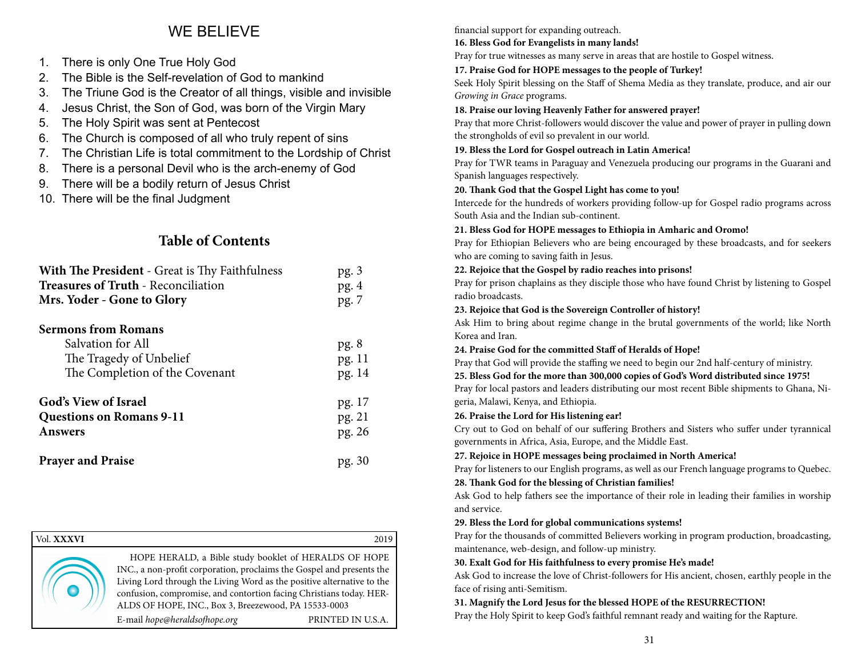## WE BELIEVE

- 1. There is only One True Holy God
- 2. The Bible is the Self-revelation of God to mankind
- 3. The Triune God is the Creator of all things, visible and invisible
- 4. Jesus Christ, the Son of God, was born of the Virgin Mary
- 5. The Holy Spirit was sent at Pentecost
- 6. The Church is composed of all who truly repent of sins
- 7. The Christian Life is total commitment to the Lordship of Christ
- 8. There is a personal Devil who is the arch-enemy of God
- 9. There will be a bodily return of Jesus Christ
- 10. There will be the final Judgment

### **Table of Contents**

| <b>With The President</b> - Great is Thy Faithfulness                                                        | pg.3                     |
|--------------------------------------------------------------------------------------------------------------|--------------------------|
| <b>Treasures of Truth - Reconciliation</b>                                                                   | pg.4                     |
| Mrs. Yoder - Gone to Glory                                                                                   | pg. 7                    |
| <b>Sermons from Romans</b><br>Salvation for All<br>The Tragedy of Unbelief<br>The Completion of the Covenant | pg.8<br>pg. 11<br>pg. 14 |
| <b>God's View of Israel</b>                                                                                  | pg. 17                   |
| <b>Questions on Romans 9-11</b>                                                                              | pg. 21                   |
| <b>Answers</b>                                                                                               | pg. 26                   |
| <b>Prayer and Praise</b>                                                                                     | pg. 30                   |

| Vol. XXXVI | 2019                                                  |
|------------|-------------------------------------------------------|
|            | HOPE HERALD, a Bible study booklet of HERALDS OF HOPE |

INC., a non-profit corporation, proclaims the Gospel and presents the Living Lord through the Living Word as the positive alternative to the confusion, compromise, and contortion facing Christians today. HER-ALDS OF HOPE, INC., Box 3, Breezewood, PA 15533-0003

E-mail *hope@heraldsofhope.org* PRINTED IN U.S.A.

#### financial support for expanding outreach.

### **16. Bless God for Evangelists in many lands!**

Pray for true witnesses as many serve in areas that are hostile to Gospel witness.

### **17. Praise God for HOPE messages to the people of Turkey!**

Seek Holy Spirit blessing on the Staff of Shema Media as they translate, produce, and air our *Growing in Grace* programs.

### **18. Praise our loving Heavenly Father for answered prayer!**

Pray that more Christ-followers would discover the value and power of prayer in pulling down the strongholds of evil so prevalent in our world.

### **19. Bless the Lord for Gospel outreach in Latin America!**

Pray for TWR teams in Paraguay and Venezuela producing our programs in the Guarani and Spanish languages respectively.

### **20. Thank God that the Gospel Light has come to you!**

Intercede for the hundreds of workers providing follow-up for Gospel radio programs across South Asia and the Indian sub-continent.

### **21. Bless God for HOPE messages to Ethiopia in Amharic and Oromo!**

Pray for Ethiopian Believers who are being encouraged by these broadcasts, and for seekers who are coming to saving faith in Jesus.

### **22. Rejoice that the Gospel by radio reaches into prisons!**

Pray for prison chaplains as they disciple those who have found Christ by listening to Gospel radio broadcasts.

### **23. Rejoice that God is the Sovereign Controller of history!**

Ask Him to bring about regime change in the brutal governments of the world; like North Korea and Iran.

### **24. Praise God for the committed Staff of Heralds of Hope!**

Pray that God will provide the staffing we need to begin our 2nd half-century of ministry.

**25. Bless God for the more than 300,000 copies of God's Word distributed since 1975!**

Pray for local pastors and leaders distributing our most recent Bible shipments to Ghana, Nigeria, Malawi, Kenya, and Ethiopia.

### **26. Praise the Lord for His listening ear!**

Cry out to God on behalf of our suffering Brothers and Sisters who suffer under tyrannical governments in Africa, Asia, Europe, and the Middle East.

### **27. Rejoice in HOPE messages being proclaimed in North America!**

Pray for listeners to our English programs, as well as our French language programs to Quebec.

### **28. Thank God for the blessing of Christian families!**

Ask God to help fathers see the importance of their role in leading their families in worship and service.

### **29. Bless the Lord for global communications systems!**

Pray for the thousands of committed Believers working in program production, broadcasting, maintenance, web-design, and follow-up ministry.

### **30. Exalt God for His faithfulness to every promise He's made!**

Ask God to increase the love of Christ-followers for His ancient, chosen, earthly people in the face of rising anti-Semitism.

### **31. Magnify the Lord Jesus for the blessed HOPE of the RESURRECTION!**

Pray the Holy Spirit to keep God's faithful remnant ready and waiting for the Rapture.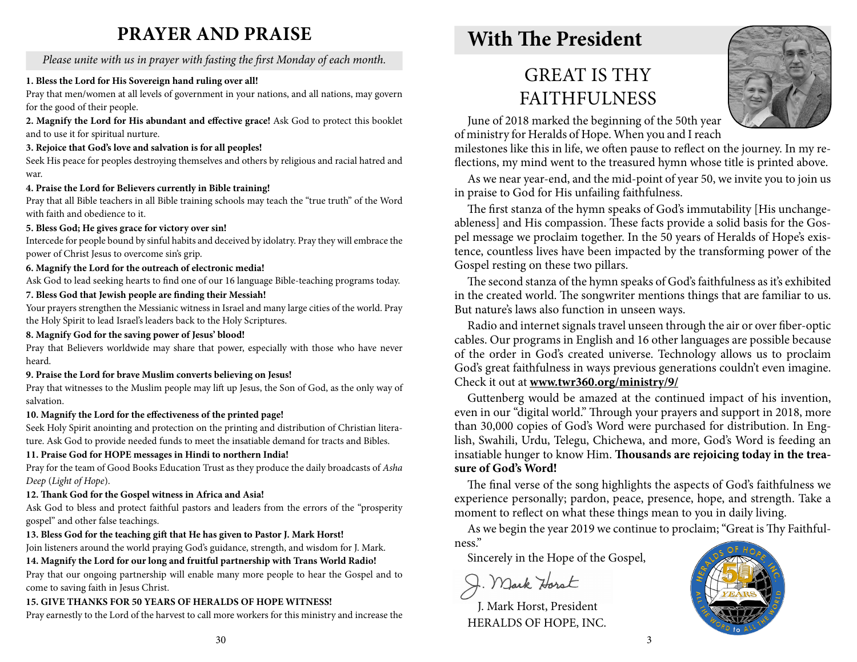# **PRAYER and PRAISE**

*Please unite with us in prayer with fasting the first Monday of each month.*

### **1. Bless the Lord for His Sovereign hand ruling over all!**

Pray that men/women at all levels of government in your nations, and all nations, may govern for the good of their people.

**2. Magnify the Lord for His abundant and effective grace!** Ask God to protect this booklet and to use it for spiritual nurture.

### **3. Rejoice that God's love and salvation is for all peoples!**

Seek His peace for peoples destroying themselves and others by religious and racial hatred and war.

### **4. Praise the Lord for Believers currently in Bible training!**

Pray that all Bible teachers in all Bible training schools may teach the "true truth" of the Word with faith and obedience to it.

### **5. Bless God; He gives grace for victory over sin!**

Intercede for people bound by sinful habits and deceived by idolatry. Pray they will embrace the power of Christ Jesus to overcome sin's grip.

### **6. Magnify the Lord for the outreach of electronic media!**

Ask God to lead seeking hearts to find one of our 16 language Bible-teaching programs today.

### **7. Bless God that Jewish people are finding their Messiah!**

Your prayers strengthen the Messianic witness in Israel and many large cities of the world. Pray the Holy Spirit to lead Israel's leaders back to the Holy Scriptures.

### **8. Magnify God for the saving power of Jesus' blood!**

Pray that Believers worldwide may share that power, especially with those who have never heard.

### **9. Praise the Lord for brave Muslim converts believing on Jesus!**

Pray that witnesses to the Muslim people may lift up Jesus, the Son of God, as the only way of salvation.

### **10. Magnify the Lord for the effectiveness of the printed page!**

Seek Holy Spirit anointing and protection on the printing and distribution of Christian literature. Ask God to provide needed funds to meet the insatiable demand for tracts and Bibles.

### **11. Praise God for HOPE messages in Hindi to northern India!**

Pray for the team of Good Books Education Trust as they produce the daily broadcasts of *Asha Deep* (*Light of Hope*).

### **12. Thank God for the Gospel witness in Africa and Asia!**

Ask God to bless and protect faithful pastors and leaders from the errors of the "prosperity gospel" and other false teachings.

### **13. Bless God for the teaching gift that He has given to Pastor J. Mark Horst!**

Join listeners around the world praying God's guidance, strength, and wisdom for J. Mark.

**14. Magnify the Lord for our long and fruitful partnership with Trans World Radio!**

Pray that our ongoing partnership will enable many more people to hear the Gospel and to come to saving faith in Jesus Christ.

### **15. GIVE THANKS FOR 50 YEARS OF HERALDS OF HOPE WITNESS!**

Pray earnestly to the Lord of the harvest to call more workers for this ministry and increase the

# **With The President**

# GREAT IS THY **FAITHFULNESS**



June of 2018 marked the beginning of the 50th year of ministry for Heralds of Hope. When you and I reach

milestones like this in life, we often pause to reflect on the journey. In my reflections, my mind went to the treasured hymn whose title is printed above.

As we near year-end, and the mid-point of year 50, we invite you to join us in praise to God for His unfailing faithfulness.

The first stanza of the hymn speaks of God's immutability [His unchangeableness] and His compassion. These facts provide a solid basis for the Gospel message we proclaim together. In the 50 years of Heralds of Hope's existence, countless lives have been impacted by the transforming power of the Gospel resting on these two pillars.

The second stanza of the hymn speaks of God's faithfulness as it's exhibited in the created world. The songwriter mentions things that are familiar to us. But nature's laws also function in unseen ways.

Radio and internet signals travel unseen through the air or over fiber-optic cables. Our programs in English and 16 other languages are possible because of the order in God's created universe. Technology allows us to proclaim God's great faithfulness in ways previous generations couldn't even imagine. Check it out at **www.twr360.org/ministry/9/**

Guttenberg would be amazed at the continued impact of his invention, even in our "digital world." Through your prayers and support in 2018, more than 30,000 copies of God's Word were purchased for distribution. In English, Swahili, Urdu, Telegu, Chichewa, and more, God's Word is feeding an insatiable hunger to know Him. **Thousands are rejoicing today in the treasure of God's Word!** 

The final verse of the song highlights the aspects of God's faithfulness we experience personally; pardon, peace, presence, hope, and strength. Take a moment to reflect on what these things mean to you in daily living.

As we begin the year 2019 we continue to proclaim; "Great is Thy Faithfulness."

Sincerely in the Hope of the Gospel,

J. Mark Horst

J. Mark Horst, President HERALDS OF HOPE, INC.

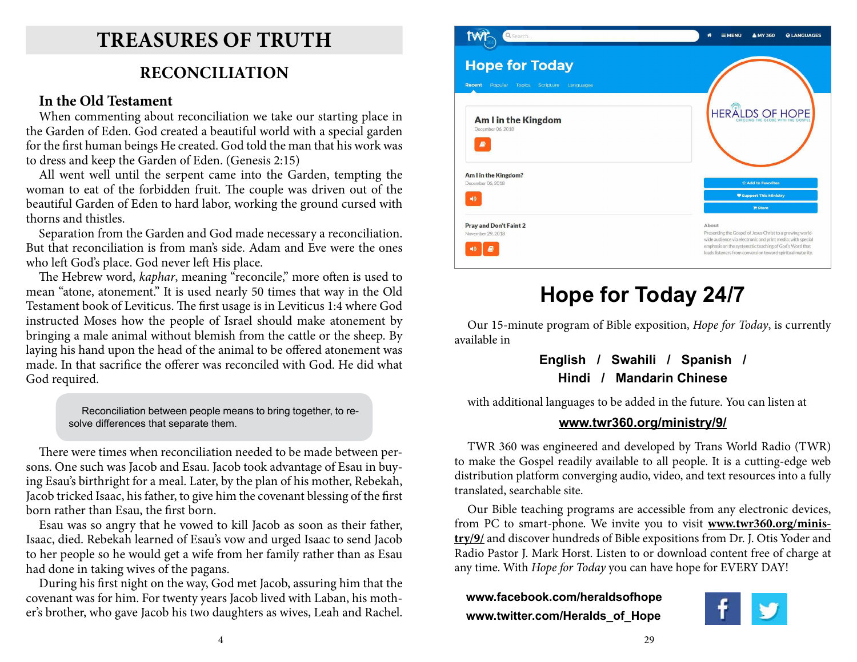# **Treasures of Truth**

# **RECONCILIATION**

### **In the Old Testament**

When commenting about reconciliation we take our starting place in the Garden of Eden. God created a beautiful world with a special garden for the first human beings He created. God told the man that his work was to dress and keep the Garden of Eden. (Genesis 2:15)

All went well until the serpent came into the Garden, tempting the woman to eat of the forbidden fruit. The couple was driven out of the beautiful Garden of Eden to hard labor, working the ground cursed with thorns and thistles.

Separation from the Garden and God made necessary a reconciliation. But that reconciliation is from man's side. Adam and Eve were the ones who left God's place. God never left His place.

The Hebrew word, *kaphar*, meaning "reconcile," more often is used to mean "atone, atonement." It is used nearly 50 times that way in the Old Testament book of Leviticus. The first usage is in Leviticus 1:4 where God instructed Moses how the people of Israel should make atonement by bringing a male animal without blemish from the cattle or the sheep. By laying his hand upon the head of the animal to be offered atonement was made. In that sacrifice the offerer was reconciled with God. He did what God required.

> Reconciliation between people means to bring together, to resolve differences that separate them.

There were times when reconciliation needed to be made between persons. One such was Jacob and Esau. Jacob took advantage of Esau in buying Esau's birthright for a meal. Later, by the plan of his mother, Rebekah, Jacob tricked Isaac, his father, to give him the covenant blessing of the first born rather than Esau, the first born.

Esau was so angry that he vowed to kill Jacob as soon as their father, Isaac, died. Rebekah learned of Esau's vow and urged Isaac to send Jacob to her people so he would get a wife from her family rather than as Esau had done in taking wives of the pagans.

During his first night on the way, God met Jacob, assuring him that the covenant was for him. For twenty years Jacob lived with Laban, his mother's brother, who gave Jacob his two daughters as wives, Leah and Rachel.



# **Hope for Today 24/7**

Our 15-minute program of Bible exposition, *Hope for Today*, is currently available in

### **English / Swahili / Spanish / Hindi / Mandarin Chinese**

with additional languages to be added in the future. You can listen at

### **www.twr360.org/ministry/9/**

TWR 360 was engineered and developed by Trans World Radio (TWR) to make the Gospel readily available to all people. It is a cutting-edge web distribution platform converging audio, video, and text resources into a fully translated, searchable site.

Our Bible teaching programs are accessible from any electronic devices, from PC to smart-phone. We invite you to visit **www.twr360.org/ministry/9/** and discover hundreds of Bible expositions from Dr. J. Otis Yoder and Radio Pastor J. Mark Horst. Listen to or download content free of charge at any time. With *Hope for Today* you can have hope for EVERY DAY!

**www.facebook.com/heraldsofhope www.twitter.com/Heralds\_of\_Hope**

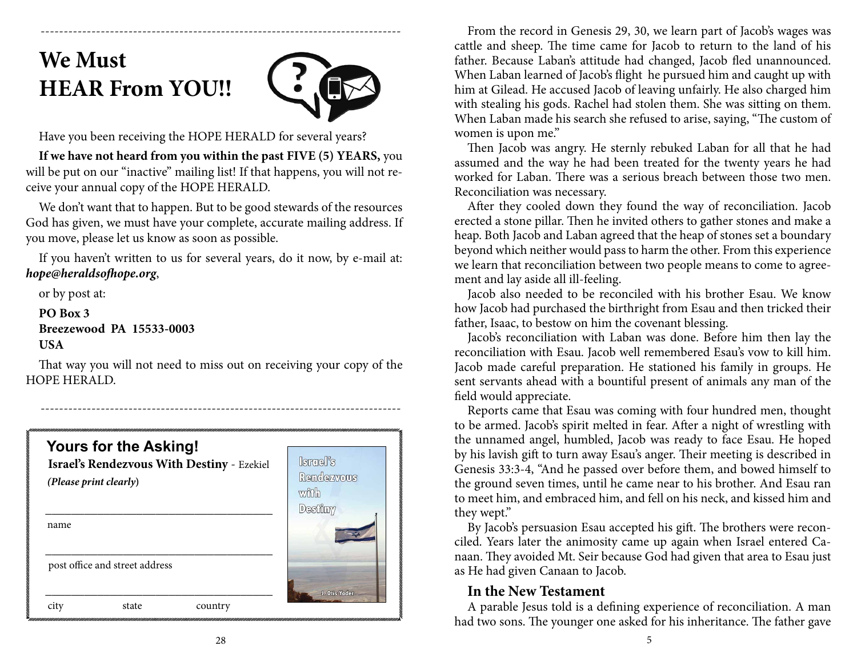# **We Must HEAR From YOU!!**



Have you been receiving the HOPE HERALD for several years?

**If we have not heard from you within the past FIVE (5) YEARS,** you will be put on our "inactive" mailing list! If that happens, you will not receive your annual copy of the HOPE HERALD.

------------------------------------------------------------------------------

We don't want that to happen. But to be good stewards of the resources God has given, we must have your complete, accurate mailing address. If you move, please let us know as soon as possible.

If you haven't written to us for several years, do it now, by e-mail at: *hope@heraldsofhope.org*,

or by post at:

**PO Box 3 Breezewood PA 15533-0003 USA**

That way you will not need to miss out on receiving your copy of the HOPE HERALD.



From the record in Genesis 29, 30, we learn part of Jacob's wages was cattle and sheep. The time came for Jacob to return to the land of his father. Because Laban's attitude had changed, Jacob fled unannounced. When Laban learned of Jacob's flight he pursued him and caught up with him at Gilead. He accused Jacob of leaving unfairly. He also charged him with stealing his gods. Rachel had stolen them. She was sitting on them. When Laban made his search she refused to arise, saying, "The custom of women is upon me."

Then Jacob was angry. He sternly rebuked Laban for all that he had assumed and the way he had been treated for the twenty years he had worked for Laban. There was a serious breach between those two men. Reconciliation was necessary.

After they cooled down they found the way of reconciliation. Jacob erected a stone pillar. Then he invited others to gather stones and make a heap. Both Jacob and Laban agreed that the heap of stones set a boundary beyond which neither would pass to harm the other. From this experience we learn that reconciliation between two people means to come to agreement and lay aside all ill-feeling.

Jacob also needed to be reconciled with his brother Esau. We know how Jacob had purchased the birthright from Esau and then tricked their father, Isaac, to bestow on him the covenant blessing.

Jacob's reconciliation with Laban was done. Before him then lay the reconciliation with Esau. Jacob well remembered Esau's vow to kill him. Jacob made careful preparation. He stationed his family in groups. He sent servants ahead with a bountiful present of animals any man of the field would appreciate.

Reports came that Esau was coming with four hundred men, thought to be armed. Jacob's spirit melted in fear. After a night of wrestling with the unnamed angel, humbled, Jacob was ready to face Esau. He hoped by his lavish gift to turn away Esau's anger. Their meeting is described in Genesis 33:3-4, "And he passed over before them, and bowed himself to the ground seven times, until he came near to his brother. And Esau ran to meet him, and embraced him, and fell on his neck, and kissed him and they wept."

By Jacob's persuasion Esau accepted his gift. The brothers were reconciled. Years later the animosity came up again when Israel entered Canaan. They avoided Mt. Seir because God had given that area to Esau just as He had given Canaan to Jacob.

### **In the New Testament**

A parable Jesus told is a defining experience of reconciliation. A man had two sons. The younger one asked for his inheritance. The father gave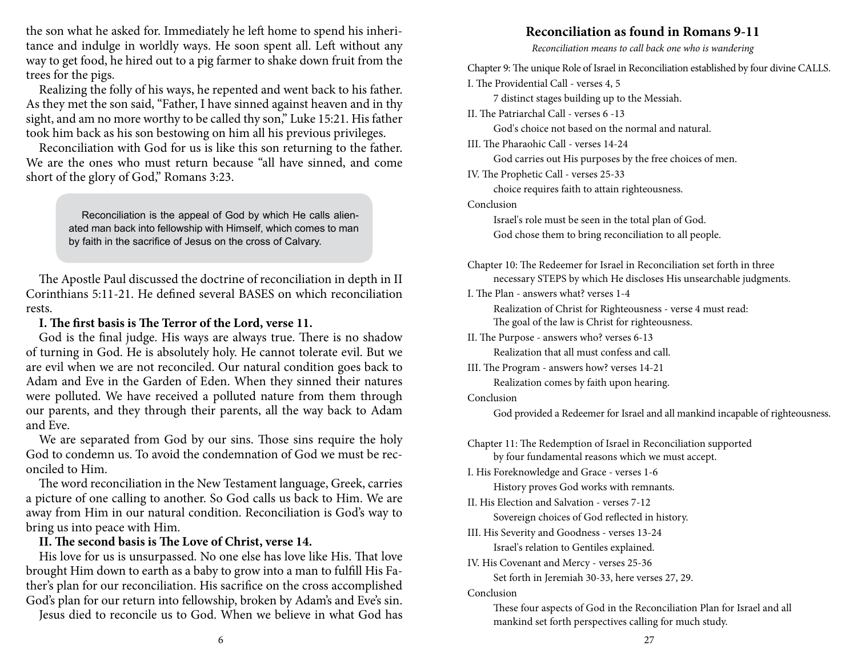the son what he asked for. Immediately he left home to spend his inheritance and indulge in worldly ways. He soon spent all. Left without any way to get food, he hired out to a pig farmer to shake down fruit from the trees for the pigs.

Realizing the folly of his ways, he repented and went back to his father. As they met the son said, "Father, I have sinned against heaven and in thy sight, and am no more worthy to be called thy son," Luke 15:21. His father took him back as his son bestowing on him all his previous privileges.

Reconciliation with God for us is like this son returning to the father. We are the ones who must return because "all have sinned, and come short of the glory of God," Romans 3:23.

> Reconciliation is the appeal of God by which He calls alienated man back into fellowship with Himself, which comes to man by faith in the sacrifice of Jesus on the cross of Calvary.

The Apostle Paul discussed the doctrine of reconciliation in depth in II Corinthians 5:11-21. He defined several BASES on which reconciliation rests.

### **I. The first basis is The Terror of the Lord, verse 11.**

God is the final judge. His ways are always true. There is no shadow of turning in God. He is absolutely holy. He cannot tolerate evil. But we are evil when we are not reconciled. Our natural condition goes back to Adam and Eve in the Garden of Eden. When they sinned their natures were polluted. We have received a polluted nature from them through our parents, and they through their parents, all the way back to Adam and Eve.

We are separated from God by our sins. Those sins require the holy God to condemn us. To avoid the condemnation of God we must be reconciled to Him.

The word reconciliation in the New Testament language, Greek, carries a picture of one calling to another. So God calls us back to Him. We are away from Him in our natural condition. Reconciliation is God's way to bring us into peace with Him.

#### **II. The second basis is The Love of Christ, verse 14.**

His love for us is unsurpassed. No one else has love like His. That love brought Him down to earth as a baby to grow into a man to fulfill His Father's plan for our reconciliation. His sacrifice on the cross accomplished God's plan for our return into fellowship, broken by Adam's and Eve's sin.

Jesus died to reconcile us to God. When we believe in what God has

### **Reconciliation as found in Romans 9-11**

*Reconciliation means to call back one who is wandering*

Chapter 9: The unique Role of Israel in Reconciliation established by four divine CALLS. I. The Providential Call - verses 4, 5

7 distinct stages building up to the Messiah.

II. The Patriarchal Call - verses 6 -13

God's choice not based on the normal and natural.

III. The Pharaohic Call - verses 14-24

God carries out His purposes by the free choices of men.

IV. The Prophetic Call - verses 25-33

choice requires faith to attain righteousness.

Conclusion

Israel's role must be seen in the total plan of God. God chose them to bring reconciliation to all people.

Chapter 10: The Redeemer for Israel in Reconciliation set forth in three necessary STEPS by which He discloses His unsearchable judgments.

I. The Plan - answers what? verses 1-4

Realization of Christ for Righteousness - verse 4 must read: The goal of the law is Christ for righteousness.

II. The Purpose - answers who? verses 6-13 Realization that all must confess and call.

III. The Program - answers how? verses 14-21

Realization comes by faith upon hearing.

Conclusion

God provided a Redeemer for Israel and all mankind incapable of righteousness.

Chapter 11: The Redemption of Israel in Reconciliation supported by four fundamental reasons which we must accept.

I. His Foreknowledge and Grace - verses 1-6

History proves God works with remnants.

II. His Election and Salvation - verses 7-12

Sovereign choices of God reflected in history.

III. His Severity and Goodness - verses 13-24 Israel's relation to Gentiles explained.

IV. His Covenant and Mercy - verses 25-36

Set forth in Jeremiah 30-33, here verses 27, 29.

Conclusion

These four aspects of God in the Reconciliation Plan for Israel and all mankind set forth perspectives calling for much study.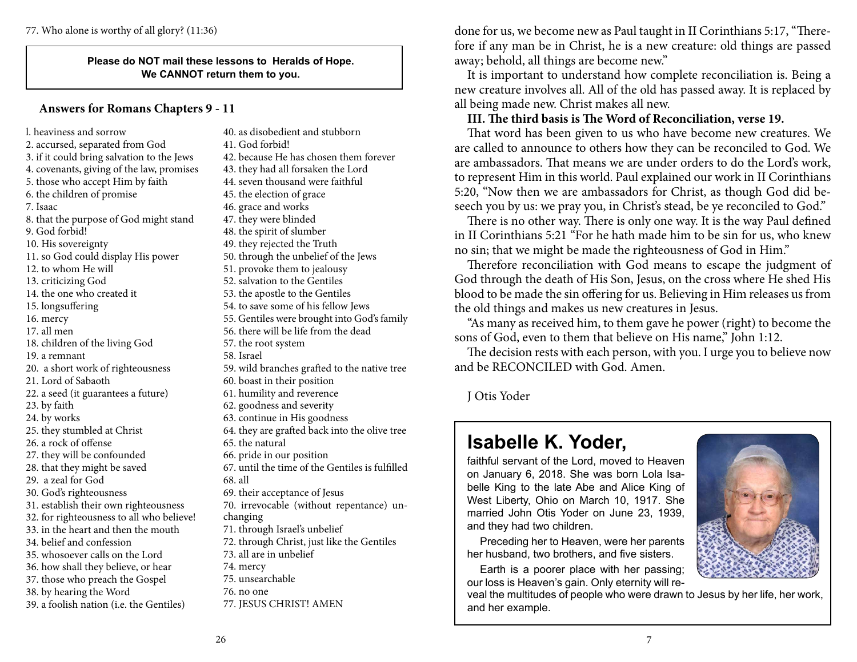#### **Please do NOT mail these lessons to Heralds of Hope. We CANNOT return them to you.**

### **Answers for Romans Chapters 9 - 11**

l. heaviness and sorrow 2. accursed, separated from God 3. if it could bring salvation to the Jews 4. covenants, giving of the law, promises 5. those who accept Him by faith 6. the children of promise 7. Isaac 8. that the purpose of God might stand 9. God forbid! 10. His sovereignty 11. so God could display His power 12. to whom He will 13. criticizing God 14. the one who created it 15. longsuffering 16. mercy 17. all men 18. children of the living God 19. a remnant 20. a short work of righteousness 21. Lord of Sabaoth 22. a seed (it guarantees a future) 23. by faith 24. by works 25. they stumbled at Christ 26. a rock of offense 27. they will be confounded 28. that they might be saved 29. a zeal for God 30. God's righteousness 31. establish their own righteousness 32. for righteousness to all who believe! 33. in the heart and then the mouth 34. belief and confession 35. whosoever calls on the Lord 36. how shall they believe, or hear 37. those who preach the Gospel 38. by hearing the Word 39. a foolish nation (i.e. the Gentiles) 40. as disobedient and stubborn

41. God forbid! 42. because He has chosen them forever 43. they had all forsaken the Lord 44. seven thousand were faithful 45. the election of grace 46. grace and works 47. they were blinded 48. the spirit of slumber 49. they rejected the Truth 50. through the unbelief of the Jews 51. provoke them to jealousy 52. salvation to the Gentiles 53. the apostle to the Gentiles 54. to save some of his fellow Jews 55. Gentiles were brought into God's family 56. there will be life from the dead 57. the root system 58. Israel 59. wild branches grafted to the native tree 60. boast in their position 61. humility and reverence 62. goodness and severity 63. continue in His goodness 64. they are grafted back into the olive tree 65. the natural 66. pride in our position 67. until the time of the Gentiles is fulfilled 68. all 69. their acceptance of Jesus 70. irrevocable (without repentance) unchanging 71. through Israel's unbelief 72. through Christ, just like the Gentiles 73. all are in unbelief 74. mercy 75. unsearchable 76. no one 77. JESUS CHRIST! AMEN

77. Who alone is worthy of all glory? (11:36) done for us, we become new as Paul taught in II Corinthians 5:17, "Therefore if any man be in Christ, he is a new creature: old things are passed away; behold, all things are become new."

> It is important to understand how complete reconciliation is. Being a new creature involves all. All of the old has passed away. It is replaced by all being made new. Christ makes all new.

### **III. The third basis is The Word of Reconciliation, verse 19.**

That word has been given to us who have become new creatures. We are called to announce to others how they can be reconciled to God. We are ambassadors. That means we are under orders to do the Lord's work, to represent Him in this world. Paul explained our work in II Corinthians 5:20, "Now then we are ambassadors for Christ, as though God did beseech you by us: we pray you, in Christ's stead, be ye reconciled to God."

There is no other way. There is only one way. It is the way Paul defined in II Corinthians 5:21 "For he hath made him to be sin for us, who knew no sin; that we might be made the righteousness of God in Him."

Therefore reconciliation with God means to escape the judgment of God through the death of His Son, Jesus, on the cross where He shed His blood to be made the sin offering for us. Believing in Him releases us from the old things and makes us new creatures in Jesus.

"As many as received him, to them gave he power (right) to become the sons of God, even to them that believe on His name," John 1:12.

The decision rests with each person, with you. I urge you to believe now and be RECONCILED with God. Amen.

J Otis Yoder

# **Isabelle K. Yoder,**

faithful servant of the Lord, moved to Heaven on January 6, 2018. She was born Lola Isabelle King to the late Abe and Alice King of West Liberty, Ohio on March 10, 1917. She married John Otis Yoder on June 23, 1939, and they had two children.

Preceding her to Heaven, were her parents her husband, two brothers, and five sisters.

Earth is a poorer place with her passing; our loss is Heaven's gain. Only eternity will re-

veal the multitudes of people who were drawn to Jesus by her life, her work, and her example.

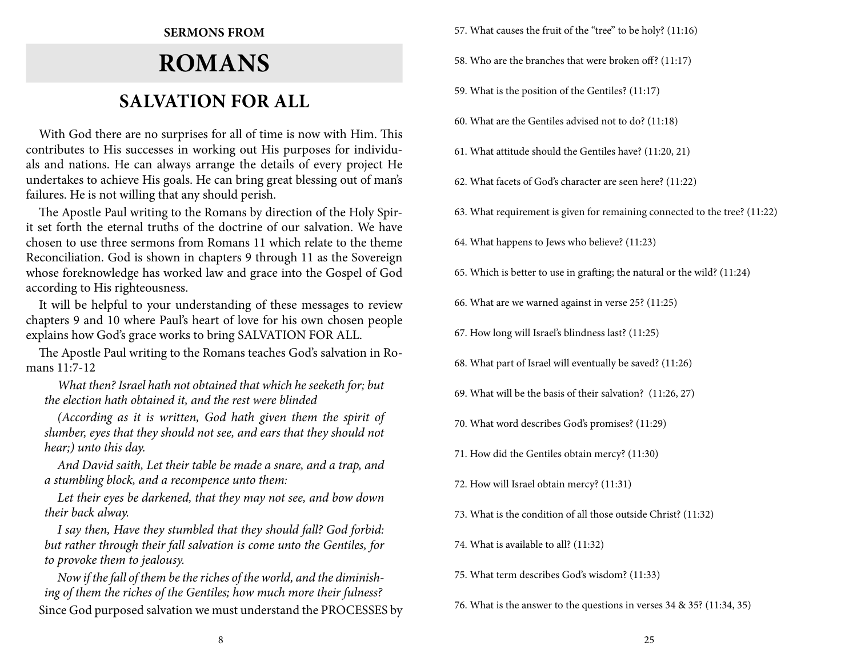### **Sermons from**

# **Romans SALVATION FOR ALL**

With God there are no surprises for all of time is now with Him. This contributes to His successes in working out His purposes for individuals and nations. He can always arrange the details of every project He undertakes to achieve His goals. He can bring great blessing out of man's failures. He is not willing that any should perish.

The Apostle Paul writing to the Romans by direction of the Holy Spirit set forth the eternal truths of the doctrine of our salvation. We have chosen to use three sermons from Romans 11 which relate to the theme Reconciliation. God is shown in chapters 9 through 11 as the Sovereign whose foreknowledge has worked law and grace into the Gospel of God according to His righteousness.

It will be helpful to your understanding of these messages to review chapters 9 and 10 where Paul's heart of love for his own chosen people explains how God's grace works to bring SALVATION FOR ALL.

The Apostle Paul writing to the Romans teaches God's salvation in Romans 11:7-12

*What then? Israel hath not obtained that which he seeketh for; but the election hath obtained it, and the rest were blinded*

*(According as it is written, God hath given them the spirit of slumber, eyes that they should not see, and ears that they should not hear;) unto this day.*

*And David saith, Let their table be made a snare, and a trap, and a stumbling block, and a recompence unto them:*

*Let their eyes be darkened, that they may not see, and bow down their back alway.*

*I say then, Have they stumbled that they should fall? God forbid: but rather through their fall salvation is come unto the Gentiles, for to provoke them to jealousy.*

*Now if the fall of them be the riches of the world, and the diminishing of them the riches of the Gentiles; how much more their fulness?* Since God purposed salvation we must understand the PROCESSES by 57. What causes the fruit of the "tree" to be holy? (11:16)

58. Who are the branches that were broken off? (11:17)

59. What is the position of the Gentiles? (11:17)

60. What are the Gentiles advised not to do? (11:18)

61. What attitude should the Gentiles have? (11:20, 21)

62. What facets of God's character are seen here? (11:22)

63. What requirement is given for remaining connected to the tree? (11:22)

64. What happens to Jews who believe? (11:23)

65. Which is better to use in grafting; the natural or the wild? (11:24)

66. What are we warned against in verse 25? (11:25)

67. How long will Israel's blindness last? (11:25)

68. What part of Israel will eventually be saved? (11:26)

69. What will be the basis of their salvation? (11:26, 27)

70. What word describes God's promises? (11:29)

71. How did the Gentiles obtain mercy? (11:30)

72. How will Israel obtain mercy? (11:31)

73. What is the condition of all those outside Christ? (11:32)

74. What is available to all? (11:32)

75. What term describes God's wisdom? (11:33)

76. What is the answer to the questions in verses 34 & 35? (11:34, 35)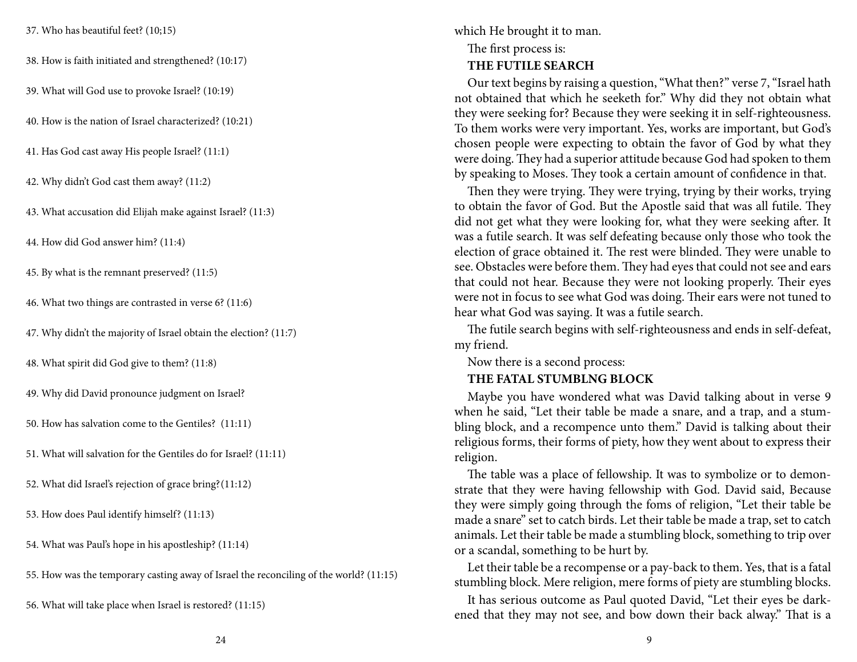37. Who has beautiful feet? (10;15)

38. How is faith initiated and strengthened? (10:17)

39. What will God use to provoke Israel? (10:19)

40. How is the nation of Israel characterized? (10:21)

41. Has God cast away His people Israel? (11:1)

42. Why didn't God cast them away? (11:2)

43. What accusation did Elijah make against Israel? (11:3)

44. How did God answer him? (11:4)

45. By what is the remnant preserved? (11:5)

46. What two things are contrasted in verse 6? (11:6)

47. Why didn't the majority of Israel obtain the election? (11:7)

48. What spirit did God give to them? (11:8)

49. Why did David pronounce judgment on Israel?

50. How has salvation come to the Gentiles? (11:11)

51. What will salvation for the Gentiles do for Israel? (11:11)

52. What did Israel's rejection of grace bring?(11:12)

53. How does Paul identify himself? (11:13)

54. What was Paul's hope in his apostleship? (11:14)

55. How was the temporary casting away of Israel the reconciling of the world? (11:15)

56. What will take place when Israel is restored? (11:15)

which He brought it to man. The first process is:

**THE FUTILE SEARCH**

Our text begins by raising a question, "What then?" verse 7, "Israel hath not obtained that which he seeketh for." Why did they not obtain what they were seeking for? Because they were seeking it in self-righteousness. To them works were very important. Yes, works are important, but God's chosen people were expecting to obtain the favor of God by what they were doing. They had a superior attitude because God had spoken to them by speaking to Moses. They took a certain amount of confidence in that.

Then they were trying. They were trying, trying by their works, trying to obtain the favor of God. But the Apostle said that was all futile. They did not get what they were looking for, what they were seeking after. It was a futile search. It was self defeating because only those who took the election of grace obtained it. The rest were blinded. They were unable to see. Obstacles were before them. They had eyes that could not see and ears that could not hear. Because they were not looking properly. Their eyes were not in focus to see what God was doing. Their ears were not tuned to hear what God was saying. It was a futile search.

The futile search begins with self-righteousness and ends in self-defeat, my friend.

Now there is a second process:

### **THE FATAL STUMBLNG BLOCK**

Maybe you have wondered what was David talking about in verse 9 when he said, "Let their table be made a snare, and a trap, and a stumbling block, and a recompence unto them." David is talking about their religious forms, their forms of piety, how they went about to express their religion.

The table was a place of fellowship. It was to symbolize or to demonstrate that they were having fellowship with God. David said, Because they were simply going through the foms of religion, "Let their table be made a snare" set to catch birds. Let their table be made a trap, set to catch animals. Let their table be made a stumbling block, something to trip over or a scandal, something to be hurt by.

Let their table be a recompense or a pay-back to them. Yes, that is a fatal stumbling block. Mere religion, mere forms of piety are stumbling blocks.

It has serious outcome as Paul quoted David, "Let their eyes be darkened that they may not see, and bow down their back alway." That is a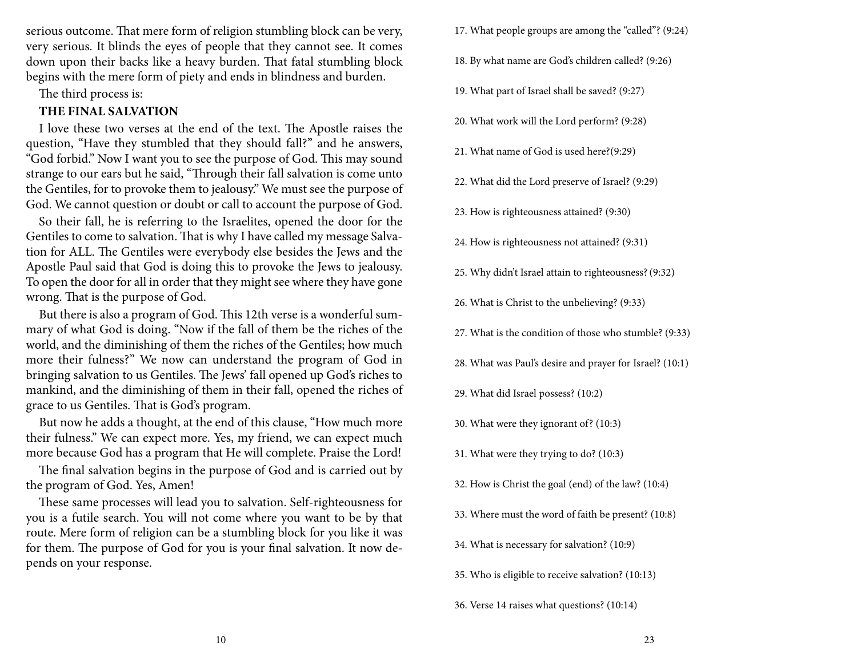serious outcome. That mere form of religion stumbling block can be very, very serious. It blinds the eyes of people that they cannot see. It comes down upon their backs like a heavy burden. That fatal stumbling block begins with the mere form of piety and ends in blindness and burden.

The third process is:

### **THE FINAL SALVATION**

I love these two verses at the end of the text. The Apostle raises the question, "Have they stumbled that they should fall?" and he answers, "God forbid." Now I want you to see the purpose of God. This may sound strange to our ears but he said, "Through their fall salvation is come unto the Gentiles, for to provoke them to jealousy." We must see the purpose of God. We cannot question or doubt or call to account the purpose of God.

So their fall, he is referring to the Israelites, opened the door for the Gentiles to come to salvation. That is why I have called my message Salvation for ALL. The Gentiles were everybody else besides the Jews and the Apostle Paul said that God is doing this to provoke the Jews to jealousy. To open the door for all in order that they might see where they have gone wrong. That is the purpose of God.

But there is also a program of God. This 12th verse is a wonderful summary of what God is doing. "Now if the fall of them be the riches of the world, and the diminishing of them the riches of the Gentiles; how much more their fulness?" We now can understand the program of God in bringing salvation to us Gentiles. The Jews' fall opened up God's riches to mankind, and the diminishing of them in their fall, opened the riches of grace to us Gentiles. That is God's program.

But now he adds a thought, at the end of this clause, "How much more their fulness." We can expect more. Yes, my friend, we can expect much more because God has a program that He will complete. Praise the Lord!

The final salvation begins in the purpose of God and is carried out by the program of God. Yes, Amen!

These same processes will lead you to salvation. Self-righteousness for you is a futile search. You will not come where you want to be by that route. Mere form of religion can be a stumbling block for you like it was for them. The purpose of God for you is your final salvation. It now depends on your response.

17. What people groups are among the "called"? (9:24)

- 18. By what name are God's children called? (9:26)
- 19. What part of Israel shall be saved? (9:27)
- 20. What work will the Lord perform? (9:28)
- 21. What name of God is used here?(9:29)
- 22. What did the Lord preserve of Israel? (9:29)
- 23. How is righteousness attained? (9:30)
- 24. How is righteousness not attained? (9:31)
- 25. Why didn't Israel attain to righteousness?(9:32)
- 26. What is Christ to the unbelieving? (9:33)
- 27. What is the condition of those who stumble? (9:33)
- 28. What was Paul's desire and prayer for Israel? (10:1)
- 29. What did Israel possess? (10:2)
- 30. What were they ignorant of? (10:3)
- 31. What were they trying to do? (10:3)
- 32. How is Christ the goal (end) of the law? (10:4)
- 33. Where must the word of faith be present? (10:8)
- 34. What is necessary for salvation? (10:9)
- 35. Who is eligible to receive salvation? (10:13)
- 36. Verse 14 raises what questions? (10:14)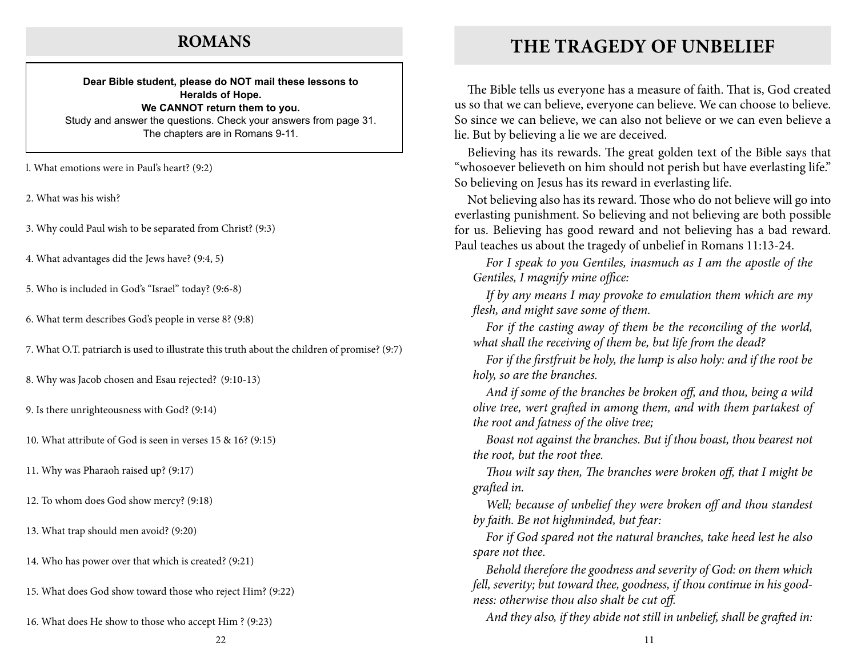### **ROMANS**

#### **Dear Bible student, please do NOT mail these lessons to Heralds of Hope. We CANNOT return them to you.** Study and answer the questions. Check your answers from page 31. The chapters are in Romans 9-11.

l. What emotions were in Paul's heart? (9:2)

2. What was his wish?

3. Why could Paul wish to be separated from Christ? (9:3)

4. What advantages did the Jews have? (9:4, 5)

5. Who is included in God's "Israel" today? (9:6-8)

6. What term describes God's people in verse 8? (9:8)

7. What O.T. patriarch is used to illustrate this truth about the children of promise? (9:7)

8. Why was Jacob chosen and Esau rejected? (9:10-13)

9. Is there unrighteousness with God? (9:14)

10. What attribute of God is seen in verses 15 & 16? (9:15)

11. Why was Pharaoh raised up? (9:17)

12. To whom does God show mercy? (9:18)

13. What trap should men avoid? (9:20)

14. Who has power over that which is created? (9:21)

15. What does God show toward those who reject Him? (9:22)

16. What does He show to those who accept Him ? (9:23)

The Bible tells us everyone has a measure of faith. That is, God created us so that we can believe, everyone can believe. We can choose to believe. So since we can believe, we can also not believe or we can even believe a lie. But by believing a lie we are deceived.

Believing has its rewards. The great golden text of the Bible says that "whosoever believeth on him should not perish but have everlasting life." So believing on Jesus has its reward in everlasting life.

Not believing also has its reward. Those who do not believe will go into everlasting punishment. So believing and not believing are both possible for us. Believing has good reward and not believing has a bad reward. Paul teaches us about the tragedy of unbelief in Romans 11:13-24.

*For I speak to you Gentiles, inasmuch as I am the apostle of the Gentiles, I magnify mine office:*

*If by any means I may provoke to emulation them which are my flesh, and might save some of them.*

*For if the casting away of them be the reconciling of the world, what shall the receiving of them be, but life from the dead?*

*For if the firstfruit be holy, the lump is also holy: and if the root be holy, so are the branches.*

*And if some of the branches be broken off, and thou, being a wild olive tree, wert grafted in among them, and with them partakest of the root and fatness of the olive tree;*

*Boast not against the branches. But if thou boast, thou bearest not the root, but the root thee.*

*Thou wilt say then, The branches were broken off, that I might be grafted in.*

*Well; because of unbelief they were broken off and thou standest by faith. Be not highminded, but fear:*

*For if God spared not the natural branches, take heed lest he also spare not thee.*

*Behold therefore the goodness and severity of God: on them which fell, severity; but toward thee, goodness, if thou continue in his goodness: otherwise thou also shalt be cut off.*

*And they also, if they abide not still in unbelief, shall be grafted in:*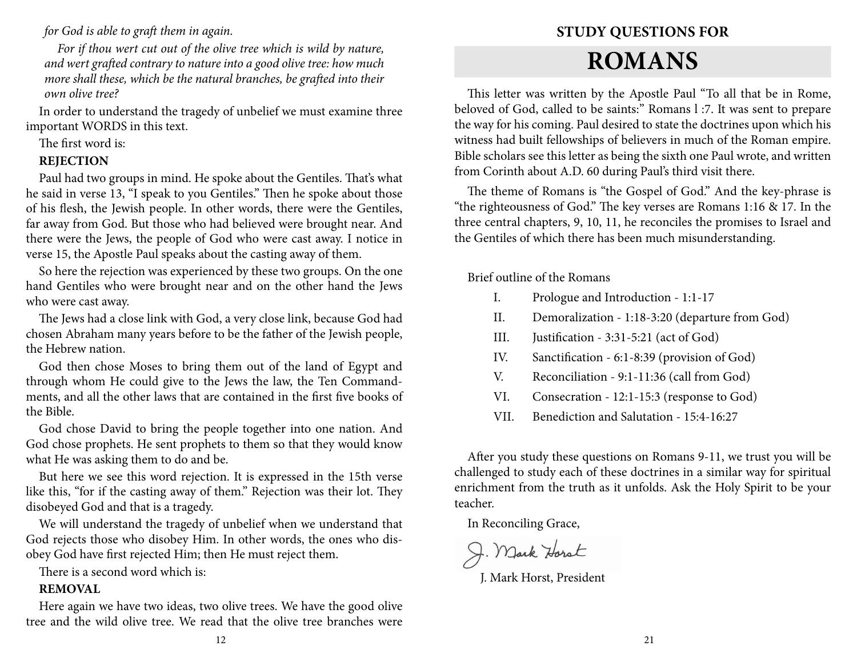*for God is able to graft them in again.*

*For if thou wert cut out of the olive tree which is wild by nature, and wert grafted contrary to nature into a good olive tree: how much more shall these, which be the natural branches, be grafted into their own olive tree?*

In order to understand the tragedy of unbelief we must examine three important WORDS in this text.

The first word is:

### **REJECTION**

Paul had two groups in mind. He spoke about the Gentiles. That's what he said in verse 13, "I speak to you Gentiles." Then he spoke about those of his flesh, the Jewish people. In other words, there were the Gentiles, far away from God. But those who had believed were brought near. And there were the Jews, the people of God who were cast away. I notice in verse 15, the Apostle Paul speaks about the casting away of them.

So here the rejection was experienced by these two groups. On the one hand Gentiles who were brought near and on the other hand the Jews who were cast away.

The Jews had a close link with God, a very close link, because God had chosen Abraham many years before to be the father of the Jewish people, the Hebrew nation.

God then chose Moses to bring them out of the land of Egypt and through whom He could give to the Jews the law, the Ten Commandments, and all the other laws that are contained in the first five books of the Bible.

God chose David to bring the people together into one nation. And God chose prophets. He sent prophets to them so that they would know what He was asking them to do and be.

But here we see this word rejection. It is expressed in the 15th verse like this, "for if the casting away of them." Rejection was their lot. They disobeyed God and that is a tragedy.

We will understand the tragedy of unbelief when we understand that God rejects those who disobey Him. In other words, the ones who disobey God have first rejected Him; then He must reject them.

There is a second word which is:

### **REMOVAL**

Here again we have two ideas, two olive trees. We have the good olive tree and the wild olive tree. We read that the olive tree branches were

# **Study Questions for**

# **Romans**

This letter was written by the Apostle Paul "To all that be in Rome, beloved of God, called to be saints:" Romans l :7. It was sent to prepare the way for his coming. Paul desired to state the doctrines upon which his witness had built fellowships of believers in much of the Roman empire. Bible scholars see this letter as being the sixth one Paul wrote, and written from Corinth about A.D. 60 during Paul's third visit there.

The theme of Romans is "the Gospel of God." And the key-phrase is "the righteousness of God." The key verses are Romans 1:16 & 17. In the three central chapters, 9, 10, 11, he reconciles the promises to Israel and the Gentiles of which there has been much misunderstanding.

Brief outline of the Romans

- I. Prologue and Introduction 1:1-17
- II. Demoralization 1:18-3:20 (departure from God)
- III. Justification 3:31-5:21 (act of God)
- IV. Sanctification 6:1-8:39 (provision of God)
- V. Reconciliation 9:1-11:36 (call from God)
- VI. Consecration 12:1-15:3 (response to God)
- VII. Benediction and Salutation 15:4-16:27

After you study these questions on Romans 9-11, we trust you will be challenged to study each of these doctrines in a similar way for spiritual enrichment from the truth as it unfolds. Ask the Holy Spirit to be your teacher.

In Reconciling Grace,

J. Mark Horst

J. Mark Horst, President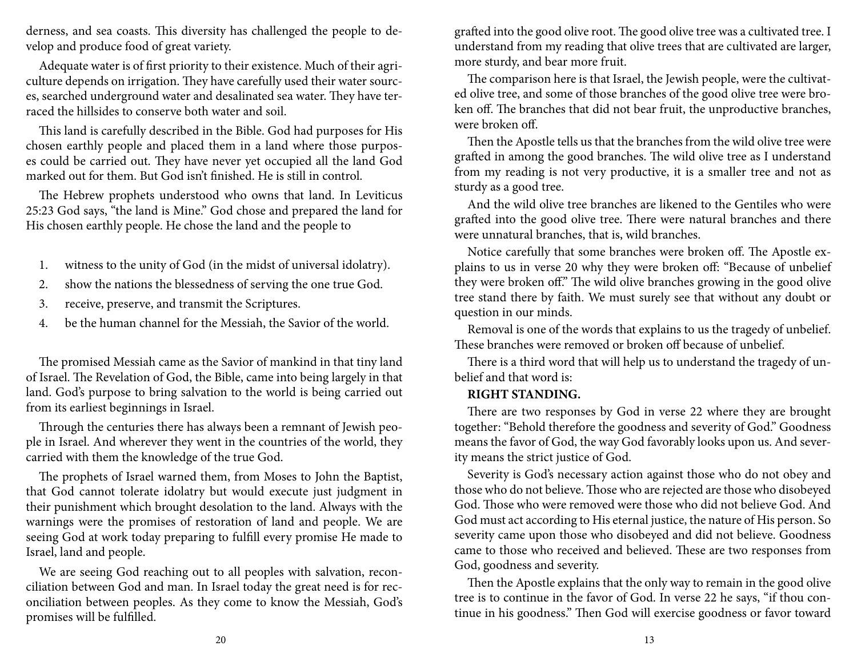derness, and sea coasts. This diversity has challenged the people to develop and produce food of great variety.

Adequate water is of first priority to their existence. Much of their agriculture depends on irrigation. They have carefully used their water sources, searched underground water and desalinated sea water. They have terraced the hillsides to conserve both water and soil.

This land is carefully described in the Bible. God had purposes for His chosen earthly people and placed them in a land where those purposes could be carried out. They have never yet occupied all the land God marked out for them. But God isn't finished. He is still in control.

The Hebrew prophets understood who owns that land. In Leviticus 25:23 God says, "the land is Mine." God chose and prepared the land for His chosen earthly people. He chose the land and the people to

- 1. witness to the unity of God (in the midst of universal idolatry).
- 2. show the nations the blessedness of serving the one true God.
- 3. receive, preserve, and transmit the Scriptures.
- 4. be the human channel for the Messiah, the Savior of the world.

The promised Messiah came as the Savior of mankind in that tiny land of Israel. The Revelation of God, the Bible, came into being largely in that land. God's purpose to bring salvation to the world is being carried out from its earliest beginnings in Israel.

Through the centuries there has always been a remnant of Jewish people in Israel. And wherever they went in the countries of the world, they carried with them the knowledge of the true God.

The prophets of Israel warned them, from Moses to John the Baptist, that God cannot tolerate idolatry but would execute just judgment in their punishment which brought desolation to the land. Always with the warnings were the promises of restoration of land and people. We are seeing God at work today preparing to fulfill every promise He made to Israel, land and people.

We are seeing God reaching out to all peoples with salvation, reconciliation between God and man. In Israel today the great need is for reconciliation between peoples. As they come to know the Messiah, God's promises will be fulfilled.

grafted into the good olive root. The good olive tree was a cultivated tree. I understand from my reading that olive trees that are cultivated are larger, more sturdy, and bear more fruit.

The comparison here is that Israel, the Jewish people, were the cultivated olive tree, and some of those branches of the good olive tree were broken off. The branches that did not bear fruit, the unproductive branches, were broken off.

Then the Apostle tells us that the branches from the wild olive tree were grafted in among the good branches. The wild olive tree as I understand from my reading is not very productive, it is a smaller tree and not as sturdy as a good tree.

And the wild olive tree branches are likened to the Gentiles who were grafted into the good olive tree. There were natural branches and there were unnatural branches, that is, wild branches.

Notice carefully that some branches were broken off. The Apostle explains to us in verse 20 why they were broken off: "Because of unbelief they were broken off." The wild olive branches growing in the good olive tree stand there by faith. We must surely see that without any doubt or question in our minds.

Removal is one of the words that explains to us the tragedy of unbelief. These branches were removed or broken off because of unbelief.

There is a third word that will help us to understand the tragedy of unbelief and that word is:

### **RIGHT STANDING.**

There are two responses by God in verse 22 where they are brought together: "Behold therefore the goodness and severity of God." Goodness means the favor of God, the way God favorably looks upon us. And severity means the strict justice of God.

Severity is God's necessary action against those who do not obey and those who do not believe. Those who are rejected are those who disobeyed God. Those who were removed were those who did not believe God. And God must act according to His eternal justice, the nature of His person. So severity came upon those who disobeyed and did not believe. Goodness came to those who received and believed. These are two responses from God, goodness and severity.

Then the Apostle explains that the only way to remain in the good olive tree is to continue in the favor of God. In verse 22 he says, "if thou continue in his goodness." Then God will exercise goodness or favor toward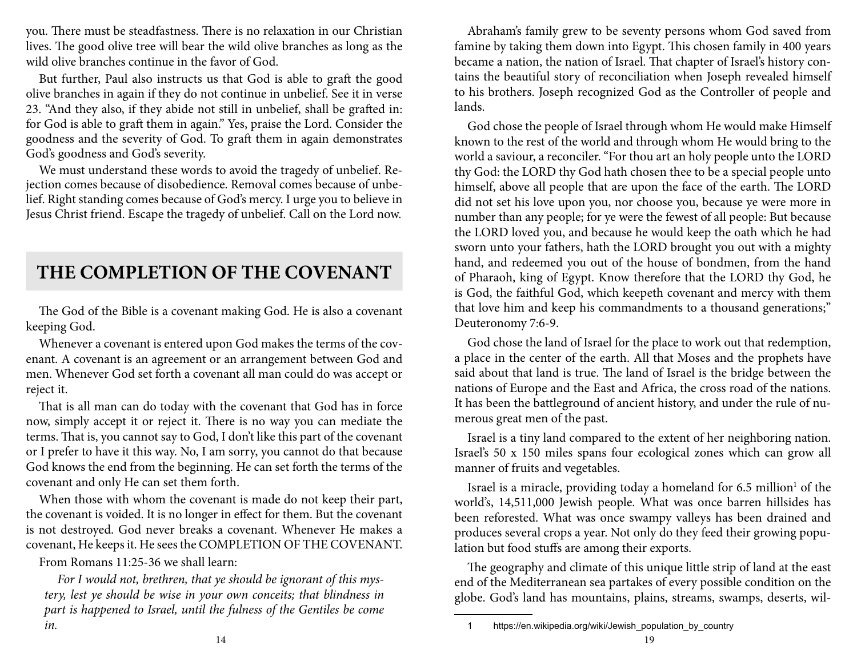you. There must be steadfastness. There is no relaxation in our Christian lives. The good olive tree will bear the wild olive branches as long as the wild olive branches continue in the favor of God.

But further, Paul also instructs us that God is able to graft the good olive branches in again if they do not continue in unbelief. See it in verse 23. "And they also, if they abide not still in unbelief, shall be grafted in: for God is able to graft them in again." Yes, praise the Lord. Consider the goodness and the severity of God. To graft them in again demonstrates God's goodness and God's severity.

We must understand these words to avoid the tragedy of unbelief. Rejection comes because of disobedience. Removal comes because of unbelief. Right standing comes because of God's mercy. I urge you to believe in Jesus Christ friend. Escape the tragedy of unbelief. Call on the Lord now.

# **THE COMPLETION OF THE COVENANT**

The God of the Bible is a covenant making God. He is also a covenant keeping God.

Whenever a covenant is entered upon God makes the terms of the covenant. A covenant is an agreement or an arrangement between God and men. Whenever God set forth a covenant all man could do was accept or reject it.

That is all man can do today with the covenant that God has in force now, simply accept it or reject it. There is no way you can mediate the terms. That is, you cannot say to God, I don't like this part of the covenant or I prefer to have it this way. No, I am sorry, you cannot do that because God knows the end from the beginning. He can set forth the terms of the covenant and only He can set them forth.

When those with whom the covenant is made do not keep their part, the covenant is voided. It is no longer in effect for them. But the covenant is not destroyed. God never breaks a covenant. Whenever He makes a covenant, He keeps it. He sees the COMPLETION OF THE COVENANT.

From Romans 11:25-36 we shall learn:

*For I would not, brethren, that ye should be ignorant of this mystery, lest ye should be wise in your own conceits; that blindness in part is happened to Israel, until the fulness of the Gentiles be come in.*

Abraham's family grew to be seventy persons whom God saved from famine by taking them down into Egypt. This chosen family in 400 years became a nation, the nation of Israel. That chapter of Israel's history contains the beautiful story of reconciliation when Joseph revealed himself to his brothers. Joseph recognized God as the Controller of people and lands.

God chose the people of Israel through whom He would make Himself known to the rest of the world and through whom He would bring to the world a saviour, a reconciler. "For thou art an holy people unto the LORD thy God: the LORD thy God hath chosen thee to be a special people unto himself, above all people that are upon the face of the earth. The LORD did not set his love upon you, nor choose you, because ye were more in number than any people; for ye were the fewest of all people: But because the LORD loved you, and because he would keep the oath which he had sworn unto your fathers, hath the LORD brought you out with a mighty hand, and redeemed you out of the house of bondmen, from the hand of Pharaoh, king of Egypt. Know therefore that the LORD thy God, he is God, the faithful God, which keepeth covenant and mercy with them that love him and keep his commandments to a thousand generations;" Deuteronomy 7:6-9.

God chose the land of Israel for the place to work out that redemption, a place in the center of the earth. All that Moses and the prophets have said about that land is true. The land of Israel is the bridge between the nations of Europe and the East and Africa, the cross road of the nations. It has been the battleground of ancient history, and under the rule of numerous great men of the past.

Israel is a tiny land compared to the extent of her neighboring nation. Israel's 50 x 150 miles spans four ecological zones which can grow all manner of fruits and vegetables.

Israel is a miracle, providing today a homeland for 6.5 million<sup>1</sup> of the world's, 14,511,000 Jewish people. What was once barren hillsides has been reforested. What was once swampy valleys has been drained and produces several crops a year. Not only do they feed their growing population but food stuffs are among their exports.

The geography and climate of this unique little strip of land at the east end of the Mediterranean sea partakes of every possible condition on the globe. God's land has mountains, plains, streams, swamps, deserts, wil-

<sup>1</sup> https://en.wikipedia.org/wiki/Jewish\_population\_by\_country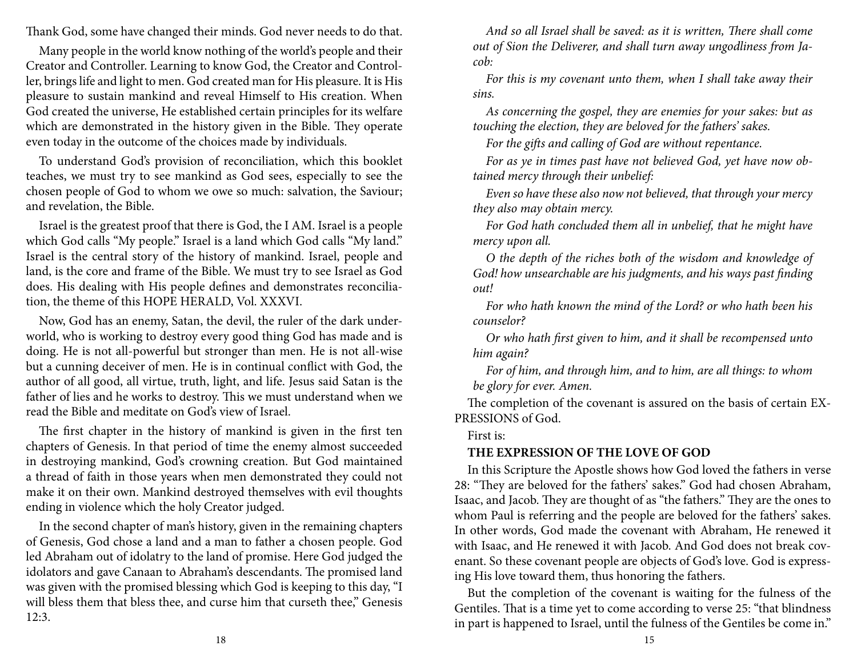Thank God, some have changed their minds. God never needs to do that.

Many people in the world know nothing of the world's people and their Creator and Controller. Learning to know God, the Creator and Controller, brings life and light to men. God created man for His pleasure. It is His pleasure to sustain mankind and reveal Himself to His creation. When God created the universe, He established certain principles for its welfare which are demonstrated in the history given in the Bible. They operate even today in the outcome of the choices made by individuals.

To understand God's provision of reconciliation, which this booklet teaches, we must try to see mankind as God sees, especially to see the chosen people of God to whom we owe so much: salvation, the Saviour; and revelation, the Bible.

Israel is the greatest proof that there is God, the I AM. Israel is a people which God calls "My people." Israel is a land which God calls "My land." Israel is the central story of the history of mankind. Israel, people and land, is the core and frame of the Bible. We must try to see Israel as God does. His dealing with His people defines and demonstrates reconciliation, the theme of this HOPE HERALD, Vol. XXXVI.

Now, God has an enemy, Satan, the devil, the ruler of the dark underworld, who is working to destroy every good thing God has made and is doing. He is not all-powerful but stronger than men. He is not all-wise but a cunning deceiver of men. He is in continual conflict with God, the author of all good, all virtue, truth, light, and life. Jesus said Satan is the father of lies and he works to destroy. This we must understand when we read the Bible and meditate on God's view of Israel.

The first chapter in the history of mankind is given in the first ten chapters of Genesis. In that period of time the enemy almost succeeded in destroying mankind, God's crowning creation. But God maintained a thread of faith in those years when men demonstrated they could not make it on their own. Mankind destroyed themselves with evil thoughts ending in violence which the holy Creator judged.

In the second chapter of man's history, given in the remaining chapters of Genesis, God chose a land and a man to father a chosen people. God led Abraham out of idolatry to the land of promise. Here God judged the idolators and gave Canaan to Abraham's descendants. The promised land was given with the promised blessing which God is keeping to this day, "I will bless them that bless thee, and curse him that curseth thee," Genesis 12:3.

*And so all Israel shall be saved: as it is written, There shall come out of Sion the Deliverer, and shall turn away ungodliness from Jacob:*

*For this is my covenant unto them, when I shall take away their sins.*

*As concerning the gospel, they are enemies for your sakes: but as touching the election, they are beloved for the fathers' sakes.*

*For the gifts and calling of God are without repentance.*

*For as ye in times past have not believed God, yet have now obtained mercy through their unbelief:*

*Even so have these also now not believed, that through your mercy they also may obtain mercy.*

*For God hath concluded them all in unbelief, that he might have mercy upon all.*

*O the depth of the riches both of the wisdom and knowledge of God! how unsearchable are his judgments, and his ways past finding out!*

*For who hath known the mind of the Lord? or who hath been his counselor?*

*Or who hath first given to him, and it shall be recompensed unto him again?*

*For of him, and through him, and to him, are all things: to whom be glory for ever. Amen.*

The completion of the covenant is assured on the basis of certain EX-PRESSIONS of God.

First is:

### **THE EXPRESSION OF THE LOVE OF GOD**

In this Scripture the Apostle shows how God loved the fathers in verse 28: "They are beloved for the fathers' sakes." God had chosen Abraham, Isaac, and Jacob. They are thought of as "the fathers." They are the ones to whom Paul is referring and the people are beloved for the fathers' sakes. In other words, God made the covenant with Abraham, He renewed it with Isaac, and He renewed it with Jacob. And God does not break covenant. So these covenant people are objects of God's love. God is expressing His love toward them, thus honoring the fathers.

But the completion of the covenant is waiting for the fulness of the Gentiles. That is a time yet to come according to verse 25: "that blindness in part is happened to Israel, until the fulness of the Gentiles be come in."